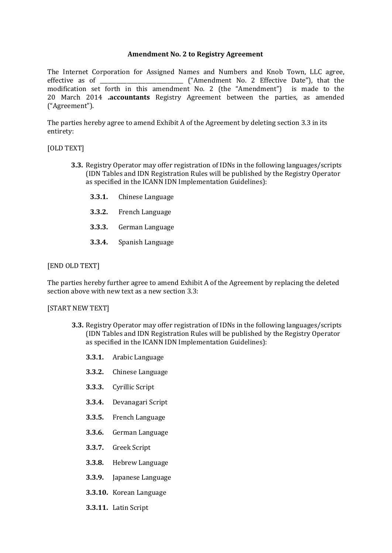### **Amendment No. 2 to Registry Agreement**

The Internet Corporation for Assigned Names and Numbers and Knob Town, LLC agree, effective as of \_\_\_\_\_\_\_\_\_\_\_\_\_\_\_\_\_\_\_\_\_\_\_\_\_\_\_\_\_\_\_ ("Amendment No. 2 Effective Date"), that the modification set forth in this amendment No. 2 (the "Amendment") is made to the 20 March 2014 **.accountants** Registry Agreement between the parties, as amended ("Agreement").

The parties hereby agree to amend Exhibit A of the Agreement by deleting section 3.3 in its entirety:

### [OLD TEXT]

- **3.3.** Registry Operator may offer registration of IDNs in the following languages/scripts (IDN Tables and IDN Registration Rules will be published by the Registry Operator as specified in the ICANN IDN Implementation Guidelines):
	- **3.3.1.** Chinese Language
	- **3.3.2.** French Language
	- **3.3.3.** German Language
	- **3.3.4.** Spanish Language

### [END OLD TEXT]

The parties hereby further agree to amend Exhibit A of the Agreement by replacing the deleted section above with new text as a new section 3.3:

#### [START NEW TEXT]

- **3.3.** Registry Operator may offer registration of IDNs in the following languages/scripts (IDN Tables and IDN Registration Rules will be published by the Registry Operator as specified in the ICANN IDN Implementation Guidelines):
	- **3.3.1.** Arabic Language
	- **3.3.2.** Chinese Language
	- **3.3.3.** Cyrillic Script
	- **3.3.4.** Devanagari Script
	- **3.3.5.** French Language
	- **3.3.6.** German Language
	- **3.3.7.** Greek Script
	- **3.3.8.** Hebrew Language
	- **3.3.9.** Japanese Language
	- **3.3.10.** Korean Language
	- **3.3.11.** Latin Script